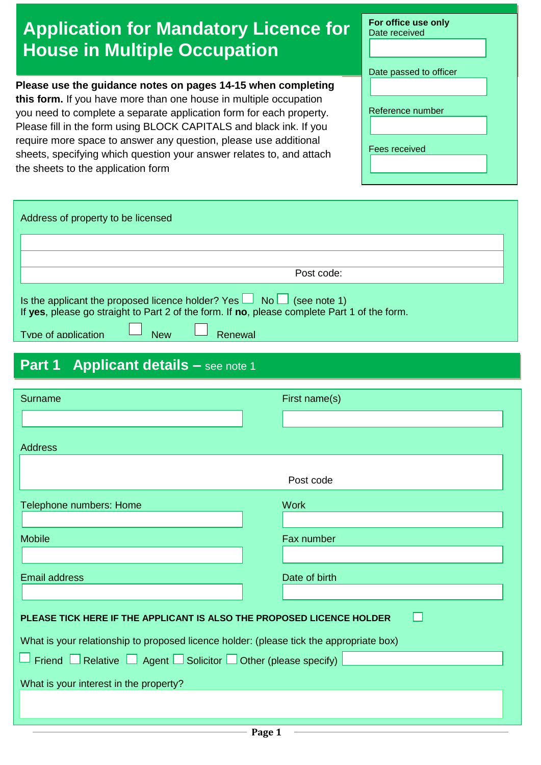# **Application for Mandatory Licence for House in Multiple Occupation**

**Please use the guidance notes on pages 14-15 when completing this form.** If you have more than one house in multiple occupation you need to complete a separate application form for each property. Please fill in the form using BLOCK CAPITALS and black ink. If you require more space to answer any question, please use additional sheets, specifying which question your answer relates to, and attach the sheets to the application form

| For office use only    |  |
|------------------------|--|
| Date received          |  |
|                        |  |
|                        |  |
|                        |  |
|                        |  |
| Date passed to officer |  |
|                        |  |
|                        |  |
|                        |  |
| Reference number       |  |
|                        |  |
|                        |  |
|                        |  |
|                        |  |
| <b>Fees received</b>   |  |
|                        |  |
|                        |  |
|                        |  |

| Address of property to be licensed                                                                                                                                                                                                 |               |  |  |  |  |
|------------------------------------------------------------------------------------------------------------------------------------------------------------------------------------------------------------------------------------|---------------|--|--|--|--|
| Post code:                                                                                                                                                                                                                         |               |  |  |  |  |
| Is the applicant the proposed licence holder? Yes $\Box$ No $\Box$<br>(see note 1)<br>If yes, please go straight to Part 2 of the form. If no, please complete Part 1 of the form.<br>Type of application<br><b>New</b><br>Renewal |               |  |  |  |  |
| <b>Applicant details - see note 1</b><br>Part 1                                                                                                                                                                                    |               |  |  |  |  |
| <b>Surname</b>                                                                                                                                                                                                                     | First name(s) |  |  |  |  |
|                                                                                                                                                                                                                                    |               |  |  |  |  |
| <b>Address</b>                                                                                                                                                                                                                     |               |  |  |  |  |
|                                                                                                                                                                                                                                    | Post code     |  |  |  |  |
| Telephone numbers: Home                                                                                                                                                                                                            | <b>Work</b>   |  |  |  |  |
| <b>Mobile</b>                                                                                                                                                                                                                      | Fax number    |  |  |  |  |
| <b>Email address</b>                                                                                                                                                                                                               | Date of birth |  |  |  |  |
| PLEASE TICK HERE IF THE APPLICANT IS ALSO THE PROPOSED LICENCE HOLDER<br>What is your relationship to proposed licence holder: (please tick the appropriate box)                                                                   |               |  |  |  |  |

Friend  $\Box$  Relative  $\Box$  Agent  $\Box$  Solicitor  $\Box$  Other (please specify)

| What is your interest in the property? |  |
|----------------------------------------|--|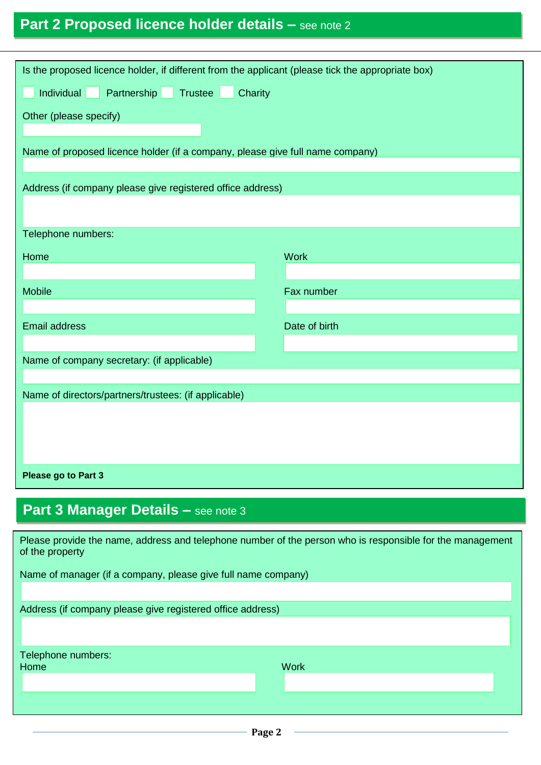# **Part 2 Proposed licence holder details –** see note 2

| Is the proposed licence holder, if different from the applicant (please tick the appropriate box) |  |  |  |  |  |
|---------------------------------------------------------------------------------------------------|--|--|--|--|--|
| Individual<br>Partnership<br><b>Trustee</b><br>Charity                                            |  |  |  |  |  |
| Other (please specify)                                                                            |  |  |  |  |  |
|                                                                                                   |  |  |  |  |  |
| Name of proposed licence holder (if a company, please give full name company)                     |  |  |  |  |  |
|                                                                                                   |  |  |  |  |  |
| Address (if company please give registered office address)                                        |  |  |  |  |  |
|                                                                                                   |  |  |  |  |  |
| Telephone numbers:                                                                                |  |  |  |  |  |
|                                                                                                   |  |  |  |  |  |
| <b>Work</b><br>Home                                                                               |  |  |  |  |  |
|                                                                                                   |  |  |  |  |  |
| <b>Mobile</b><br>Fax number                                                                       |  |  |  |  |  |
| <b>Email address</b><br>Date of birth                                                             |  |  |  |  |  |
|                                                                                                   |  |  |  |  |  |
| Name of company secretary: (if applicable)                                                        |  |  |  |  |  |
|                                                                                                   |  |  |  |  |  |
| Name of directors/partners/trustees: (if applicable)                                              |  |  |  |  |  |
|                                                                                                   |  |  |  |  |  |
|                                                                                                   |  |  |  |  |  |
|                                                                                                   |  |  |  |  |  |
|                                                                                                   |  |  |  |  |  |
| <b>Please go to Part 3</b>                                                                        |  |  |  |  |  |

## **Part 3 Manager Details – see note 3**

Please provide the name, address and telephone number of the person who is responsible for the management of the property

Name of manager (if a company, please give full name company)

Address (if company please give registered office address)

| Telephone numbers: |      |
|--------------------|------|
| Home               | Work |
|                    |      |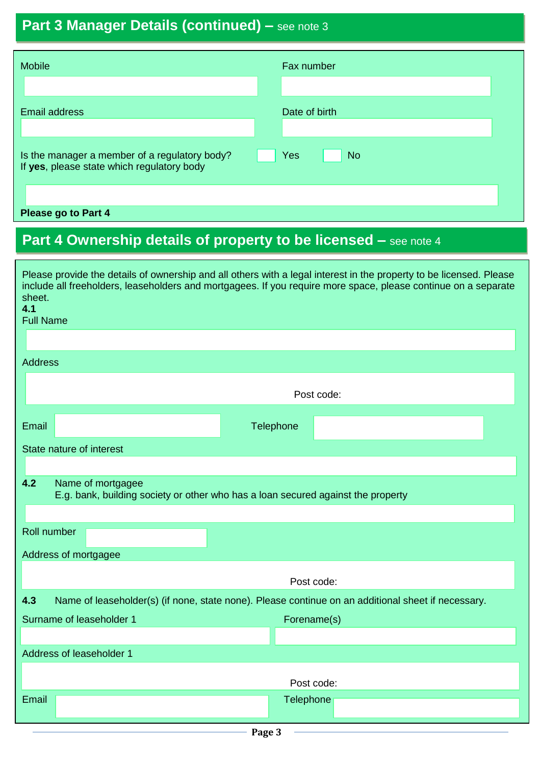# **Part 3 Manager Details (continued) –** see note 3

| <b>Mobile</b>                                                                               | Fax number              |
|---------------------------------------------------------------------------------------------|-------------------------|
|                                                                                             |                         |
|                                                                                             |                         |
| <b>Email address</b>                                                                        | Date of birth           |
|                                                                                             |                         |
| Is the manager a member of a regulatory body?<br>If yes, please state which regulatory body | <b>Yes</b><br><b>No</b> |
|                                                                                             |                         |
| <b>Please go to Part 4</b>                                                                  |                         |

# **Part 4 Ownership details of property to be licensed – see note 4**

| sheet.<br>4.1  | Please provide the details of ownership and all others with a legal interest in the property to be licensed. Please<br>include all freeholders, leaseholders and mortgagees. If you require more space, please continue on a separate<br><b>Full Name</b> |             |                                                                                                    |  |  |
|----------------|-----------------------------------------------------------------------------------------------------------------------------------------------------------------------------------------------------------------------------------------------------------|-------------|----------------------------------------------------------------------------------------------------|--|--|
| <b>Address</b> |                                                                                                                                                                                                                                                           |             |                                                                                                    |  |  |
|                |                                                                                                                                                                                                                                                           |             | Post code:                                                                                         |  |  |
| Email          |                                                                                                                                                                                                                                                           | Telephone   |                                                                                                    |  |  |
|                | State nature of interest                                                                                                                                                                                                                                  |             |                                                                                                    |  |  |
|                |                                                                                                                                                                                                                                                           |             |                                                                                                    |  |  |
| 4.2            | Name of mortgagee<br>E.g. bank, building society or other who has a loan secured against the property                                                                                                                                                     |             |                                                                                                    |  |  |
|                |                                                                                                                                                                                                                                                           |             |                                                                                                    |  |  |
| Roll number    |                                                                                                                                                                                                                                                           |             |                                                                                                    |  |  |
|                | Address of mortgagee                                                                                                                                                                                                                                      |             |                                                                                                    |  |  |
|                |                                                                                                                                                                                                                                                           | Post code:  |                                                                                                    |  |  |
| 4.3            |                                                                                                                                                                                                                                                           |             | Name of leaseholder(s) (if none, state none). Please continue on an additional sheet if necessary. |  |  |
|                | Surname of leaseholder 1                                                                                                                                                                                                                                  | Forename(s) |                                                                                                    |  |  |
|                |                                                                                                                                                                                                                                                           |             |                                                                                                    |  |  |
|                | Address of leaseholder 1                                                                                                                                                                                                                                  |             |                                                                                                    |  |  |
|                |                                                                                                                                                                                                                                                           | Post code:  |                                                                                                    |  |  |
| Email          |                                                                                                                                                                                                                                                           | Telephone   |                                                                                                    |  |  |
|                |                                                                                                                                                                                                                                                           | Page 3      |                                                                                                    |  |  |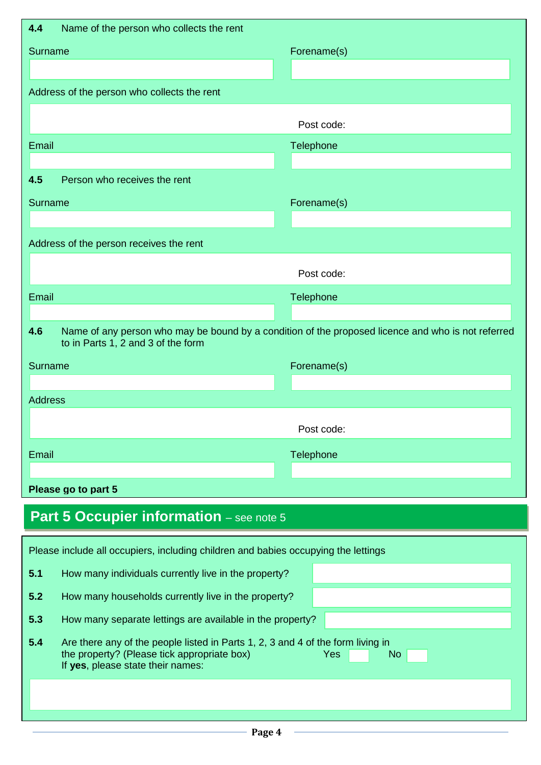| 4.4            | Name of the person who collects the rent                                                                                                                            |                  |
|----------------|---------------------------------------------------------------------------------------------------------------------------------------------------------------------|------------------|
| Surname        |                                                                                                                                                                     | Forename(s)      |
|                |                                                                                                                                                                     |                  |
|                | Address of the person who collects the rent                                                                                                                         |                  |
|                |                                                                                                                                                                     |                  |
|                |                                                                                                                                                                     | Post code:       |
| Email          |                                                                                                                                                                     | Telephone        |
| 4.5            | Person who receives the rent                                                                                                                                        |                  |
| Surname        |                                                                                                                                                                     | Forename(s)      |
|                |                                                                                                                                                                     |                  |
|                | Address of the person receives the rent                                                                                                                             |                  |
|                |                                                                                                                                                                     | Post code:       |
| Email          |                                                                                                                                                                     | Telephone        |
|                |                                                                                                                                                                     |                  |
| 4.6            | Name of any person who may be bound by a condition of the proposed licence and who is not referred<br>to in Parts 1, 2 and 3 of the form                            |                  |
| Surname        |                                                                                                                                                                     | Forename(s)      |
|                |                                                                                                                                                                     |                  |
| <b>Address</b> |                                                                                                                                                                     |                  |
|                |                                                                                                                                                                     | Post code:       |
| Email          |                                                                                                                                                                     | Telephone        |
|                |                                                                                                                                                                     |                  |
|                | Please go to part 5                                                                                                                                                 |                  |
|                | <b>Part 5 Occupier information</b> – see note 5                                                                                                                     |                  |
|                | Please include all occupiers, including children and babies occupying the lettings                                                                                  |                  |
| 5.1            | How many individuals currently live in the property?                                                                                                                |                  |
| 5.2            | How many households currently live in the property?                                                                                                                 |                  |
| 5.3            | How many separate lettings are available in the property?                                                                                                           |                  |
| 5.4            | Are there any of the people listed in Parts 1, 2, 3 and 4 of the form living in<br>the property? (Please tick appropriate box)<br>If yes, please state their names: | Yes<br><b>No</b> |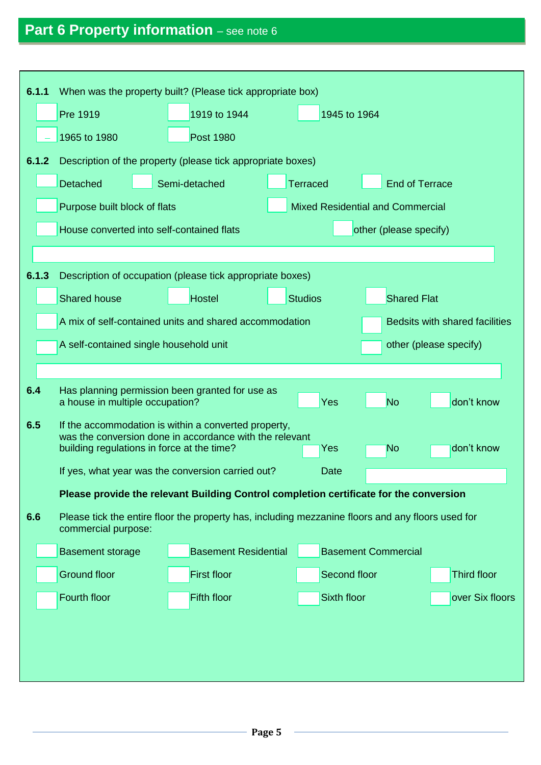# **Part 6 Property information** – see note 6

|     | 6.1.1 |                                                             | When was the property built? (Please tick appropriate box)                                                      |                                         |                     |                            |                                       |  |  |
|-----|-------|-------------------------------------------------------------|-----------------------------------------------------------------------------------------------------------------|-----------------------------------------|---------------------|----------------------------|---------------------------------------|--|--|
|     |       | <b>Pre 1919</b><br>1919 to 1944<br>1945 to 1964             |                                                                                                                 |                                         |                     |                            |                                       |  |  |
|     |       | 1965 to 1980                                                | <b>Post 1980</b>                                                                                                |                                         |                     |                            |                                       |  |  |
|     | 6.1.2 | Description of the property (please tick appropriate boxes) |                                                                                                                 |                                         |                     |                            |                                       |  |  |
|     |       | Detached                                                    | Semi-detached                                                                                                   | <b>Terraced</b>                         |                     | <b>End of Terrace</b>      |                                       |  |  |
|     |       | Purpose built block of flats                                |                                                                                                                 | <b>Mixed Residential and Commercial</b> |                     |                            |                                       |  |  |
|     |       | House converted into self-contained flats                   |                                                                                                                 |                                         |                     | other (please specify)     |                                       |  |  |
|     |       |                                                             |                                                                                                                 |                                         |                     |                            |                                       |  |  |
|     | 6.1.3 |                                                             | Description of occupation (please tick appropriate boxes)                                                       |                                         |                     |                            |                                       |  |  |
|     |       | <b>Shared house</b>                                         | <b>Hostel</b>                                                                                                   | <b>Studios</b>                          |                     | <b>Shared Flat</b>         |                                       |  |  |
|     |       |                                                             | A mix of self-contained units and shared accommodation                                                          |                                         |                     |                            | <b>Bedsits with shared facilities</b> |  |  |
|     |       | A self-contained single household unit                      |                                                                                                                 |                                         |                     |                            | other (please specify)                |  |  |
|     |       |                                                             |                                                                                                                 |                                         |                     |                            |                                       |  |  |
| 6.4 |       | a house in multiple occupation?                             | Has planning permission been granted for use as                                                                 |                                         | Yes                 | <b>No</b>                  | don't know                            |  |  |
| 6.5 |       | building regulations in force at the time?                  | If the accommodation is within a converted property,<br>was the conversion done in accordance with the relevant |                                         | Yes                 | No                         | don't know                            |  |  |
|     |       |                                                             | If yes, what year was the conversion carried out?                                                               |                                         | Date                |                            |                                       |  |  |
|     |       |                                                             | Please provide the relevant Building Control completion certificate for the conversion                          |                                         |                     |                            |                                       |  |  |
| 6.6 |       | commercial purpose:                                         | Please tick the entire floor the property has, including mezzanine floors and any floors used for               |                                         |                     |                            |                                       |  |  |
|     |       | <b>Basement storage</b>                                     | <b>Basement Residential</b>                                                                                     |                                         |                     | <b>Basement Commercial</b> |                                       |  |  |
|     |       | <b>Ground floor</b>                                         | <b>First floor</b>                                                                                              |                                         | <b>Second floor</b> |                            | <b>Third floor</b>                    |  |  |
|     |       | Fourth floor                                                | <b>Fifth floor</b>                                                                                              |                                         | Sixth floor         |                            | over Six floors                       |  |  |
|     |       |                                                             |                                                                                                                 |                                         |                     |                            |                                       |  |  |
|     |       |                                                             |                                                                                                                 |                                         |                     |                            |                                       |  |  |
|     |       |                                                             |                                                                                                                 |                                         |                     |                            |                                       |  |  |
|     |       |                                                             |                                                                                                                 |                                         |                     |                            |                                       |  |  |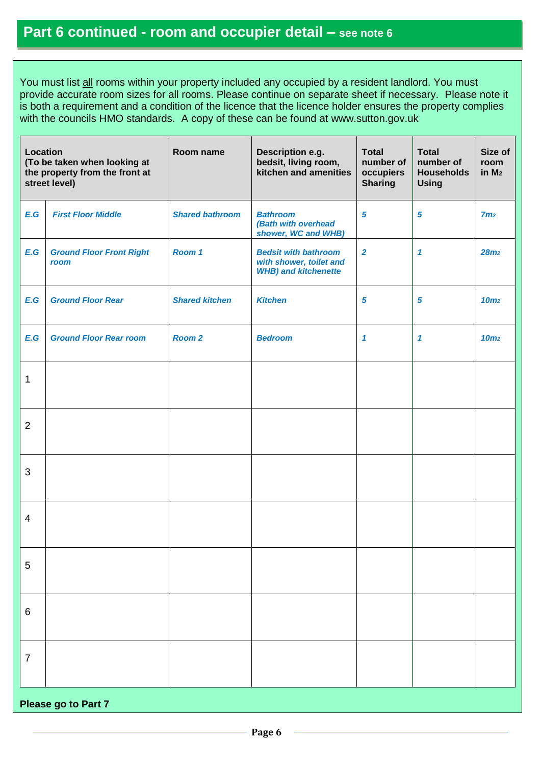You must list all rooms within your property included any occupied by a resident landlord. You must provide accurate room sizes for all rooms. Please continue on separate sheet if necessary. Please note it is both a requirement and a condition of the licence that the licence holder ensures the property complies with the councils HMO standards. A copy of these can be found at www.sutton.gov.uk

|                 | <b>Location</b><br>Room name<br>Description e.g.<br>bedsit, living room,<br>(To be taken when looking at<br>kitchen and amenities<br>the property from the front at<br>street level) |                        | <b>Total</b><br>number of<br>occupiers<br><b>Sharing</b>                              | <b>Total</b><br>number of<br><b>Households</b><br><b>Using</b> | Size of<br>room<br>in M <sub>2</sub> |                  |
|-----------------|--------------------------------------------------------------------------------------------------------------------------------------------------------------------------------------|------------------------|---------------------------------------------------------------------------------------|----------------------------------------------------------------|--------------------------------------|------------------|
| E.G             | <b>First Floor Middle</b>                                                                                                                                                            | <b>Shared bathroom</b> | <b>Bathroom</b><br>(Bath with overhead<br>shower, WC and WHB)                         | $\sqrt{5}$                                                     | $\sqrt{5}$                           | 7m <sub>2</sub>  |
| E.G             | <b>Ground Floor Front Right</b><br>room                                                                                                                                              | Room 1                 | <b>Bedsit with bathroom</b><br>with shower, toilet and<br><b>WHB) and kitchenette</b> | $\overline{2}$                                                 | 1                                    | 28m <sub>2</sub> |
| E.G             | <b>Ground Floor Rear</b>                                                                                                                                                             | <b>Shared kitchen</b>  | <b>Kitchen</b>                                                                        | $\sqrt{5}$                                                     | $\mathbf{5}$                         | 10 <sub>m2</sub> |
| E.G             | <b>Ground Floor Rear room</b>                                                                                                                                                        | Room <sub>2</sub>      | <b>Bedroom</b>                                                                        | $\mathbf{1}$                                                   | 1                                    | 10 <sub>m2</sub> |
| 1               |                                                                                                                                                                                      |                        |                                                                                       |                                                                |                                      |                  |
| $\overline{2}$  |                                                                                                                                                                                      |                        |                                                                                       |                                                                |                                      |                  |
| 3               |                                                                                                                                                                                      |                        |                                                                                       |                                                                |                                      |                  |
| $\overline{4}$  |                                                                                                                                                                                      |                        |                                                                                       |                                                                |                                      |                  |
| $5\phantom{.0}$ |                                                                                                                                                                                      |                        |                                                                                       |                                                                |                                      |                  |
| 6               |                                                                                                                                                                                      |                        |                                                                                       |                                                                |                                      |                  |
| $\overline{7}$  |                                                                                                                                                                                      |                        |                                                                                       |                                                                |                                      |                  |

**Please go to Part 7**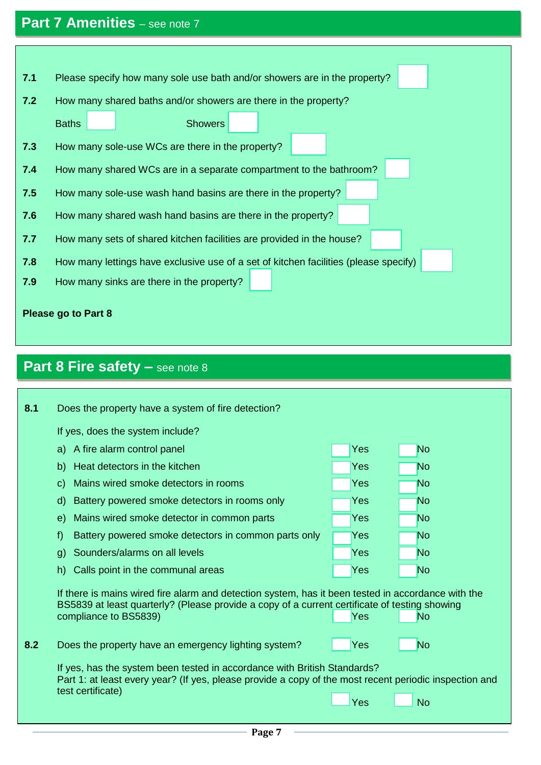| 7.1                 | Please specify how many sole use bath and/or showers are in the property?            |  |  |  |  |
|---------------------|--------------------------------------------------------------------------------------|--|--|--|--|
| 7.2                 | How many shared baths and/or showers are there in the property?                      |  |  |  |  |
|                     | <b>Baths</b><br><b>Showers</b>                                                       |  |  |  |  |
| 7.3                 | How many sole-use WCs are there in the property?                                     |  |  |  |  |
| 7.4                 | How many shared WCs are in a separate compartment to the bathroom?                   |  |  |  |  |
| 7.5                 | How many sole-use wash hand basins are there in the property?                        |  |  |  |  |
| 7.6                 | How many shared wash hand basins are there in the property?                          |  |  |  |  |
| 7.7                 | How many sets of shared kitchen facilities are provided in the house?                |  |  |  |  |
| 7.8                 | How many lettings have exclusive use of a set of kitchen facilities (please specify) |  |  |  |  |
| 7.9                 | How many sinks are there in the property?                                            |  |  |  |  |
| Please go to Part 8 |                                                                                      |  |  |  |  |

# **Part 8 Fire safety –** see note 8

| 8.1 | Does the property have a system of fire detection?                                                                                                                                                                           |            |           |
|-----|------------------------------------------------------------------------------------------------------------------------------------------------------------------------------------------------------------------------------|------------|-----------|
|     | If yes, does the system include?                                                                                                                                                                                             |            |           |
|     | A fire alarm control panel<br>a)                                                                                                                                                                                             | Yes        | No        |
|     | Heat detectors in the kitchen<br>b)                                                                                                                                                                                          | <b>Yes</b> | <b>No</b> |
|     | Mains wired smoke detectors in rooms<br>$\mathbf{C}$                                                                                                                                                                         | <b>Yes</b> | No        |
|     | Battery powered smoke detectors in rooms only<br>$\mathsf{d}$                                                                                                                                                                | <b>Yes</b> | No        |
|     | Mains wired smoke detector in common parts<br>$\epsilon$                                                                                                                                                                     | <b>Yes</b> | No        |
|     | Battery powered smoke detectors in common parts only<br>f)                                                                                                                                                                   | <b>Yes</b> | No        |
|     | Sounders/alarms on all levels<br>g)                                                                                                                                                                                          | <b>Yes</b> | No        |
|     | Calls point in the communal areas<br>h)                                                                                                                                                                                      | Yes        | No.       |
|     | If there is mains wired fire alarm and detection system, has it been tested in accordance with the<br>BS5839 at least quarterly? (Please provide a copy of a current certificate of testing showing<br>compliance to BS5839) | Yes        | No        |
| 8.2 | Does the property have an emergency lighting system?                                                                                                                                                                         | Yes        | <b>No</b> |
|     | If yes, has the system been tested in accordance with British Standards?<br>Part 1: at least every year? (If yes, please provide a copy of the most recent periodic inspection and<br>test certificate)                      | Yes        | <b>No</b> |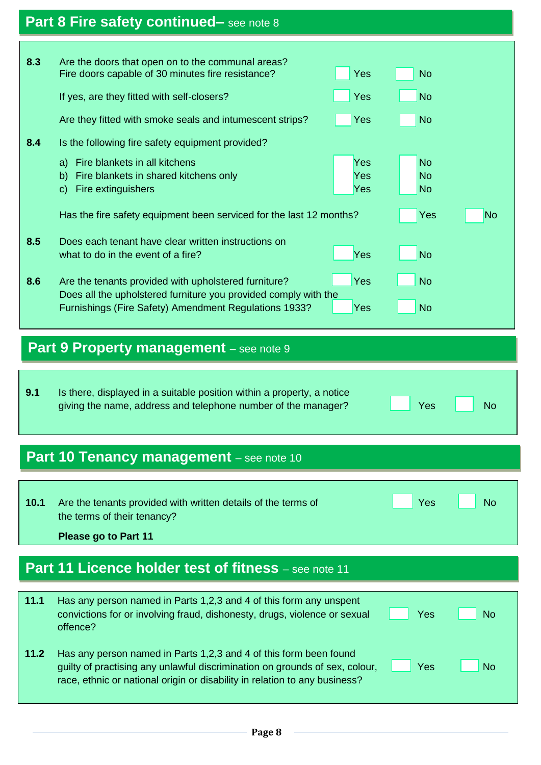# **Part 8 Fire safety continued–** see note 8

| 8.3  | Are the doors that open on to the communal areas?<br>Fire doors capable of 30 minutes fire resistance?<br>Yes                                               | <b>No</b>                           |           |
|------|-------------------------------------------------------------------------------------------------------------------------------------------------------------|-------------------------------------|-----------|
|      | If yes, are they fitted with self-closers?<br>Yes                                                                                                           | <b>No</b>                           |           |
|      | Are they fitted with smoke seals and intumescent strips?<br>Yes                                                                                             | <b>No</b>                           |           |
| 8.4  | Is the following fire safety equipment provided?                                                                                                            |                                     |           |
|      | Fire blankets in all kitchens<br>Yes<br>a)<br>Fire blankets in shared kitchens only<br>Yes<br>b)<br>Fire extinguishers<br>Yes<br>C)                         | <b>No</b><br><b>No</b><br><b>No</b> |           |
|      | Has the fire safety equipment been serviced for the last 12 months?                                                                                         | Yes                                 | <b>No</b> |
| 8.5  | Does each tenant have clear written instructions on<br>what to do in the event of a fire?<br>Yes                                                            | <b>No</b>                           |           |
| 8.6  | Yes<br>Are the tenants provided with upholstered furniture?                                                                                                 | <b>No</b>                           |           |
|      | Does all the upholstered furniture you provided comply with the<br>Yes<br>Furnishings (Fire Safety) Amendment Regulations 1933?                             | <b>No</b>                           |           |
|      |                                                                                                                                                             |                                     |           |
|      | Part 9 Property management - see note 9                                                                                                                     |                                     |           |
|      |                                                                                                                                                             |                                     |           |
| 9.1  | Is there, displayed in a suitable position within a property, a notice<br>giving the name, address and telephone number of the manager?                     | Yes                                 | No        |
|      | <b>Part 10 Tenancy management</b> – see note 10                                                                                                             |                                     |           |
|      |                                                                                                                                                             |                                     |           |
| 10.1 | Are the tenants provided with written details of the terms of                                                                                               | Yes                                 | <b>No</b> |
|      | the terms of their tenancy?                                                                                                                                 |                                     |           |
|      | Please go to Part 11                                                                                                                                        |                                     |           |
|      | <b>Part 11 Licence holder test of fitness</b> – see note 11                                                                                                 |                                     |           |
| 11.1 | Has any person named in Parts 1,2,3 and 4 of this form any unspent<br>convictions for or involving fraud, dishonesty, drugs, violence or sexual<br>offence? | Yes                                 | <b>No</b> |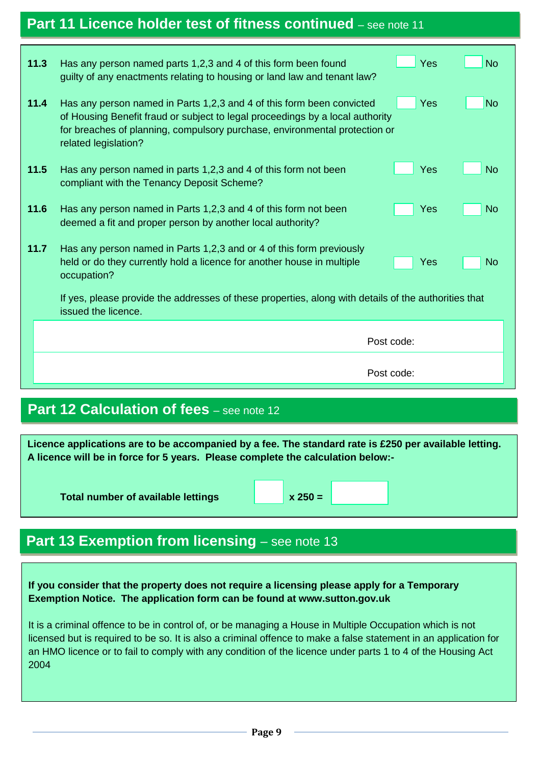## **Part 11 Licence holder test of fitness continued** – see note 11

| 11.3 | Yes<br>Has any person named parts 1,2,3 and 4 of this form been found<br>N <sub>O</sub><br>guilty of any enactments relating to housing or land law and tenant law?                                                                                                              |
|------|----------------------------------------------------------------------------------------------------------------------------------------------------------------------------------------------------------------------------------------------------------------------------------|
| 11.4 | Yes<br>Has any person named in Parts 1,2,3 and 4 of this form been convicted<br><b>No</b><br>of Housing Benefit fraud or subject to legal proceedings by a local authority<br>for breaches of planning, compulsory purchase, environmental protection or<br>related legislation? |
| 11.5 | Yes<br><b>No</b><br>Has any person named in parts 1,2,3 and 4 of this form not been<br>compliant with the Tenancy Deposit Scheme?                                                                                                                                                |
| 11.6 | Has any person named in Parts 1,2,3 and 4 of this form not been<br>Yes<br>No.<br>deemed a fit and proper person by another local authority?                                                                                                                                      |
| 11.7 | Has any person named in Parts 1,2,3 and or 4 of this form previously<br>held or do they currently hold a licence for another house in multiple<br>Yes<br>No.<br>occupation?                                                                                                      |
|      | If yes, please provide the addresses of these properties, along with details of the authorities that<br>issued the licence.                                                                                                                                                      |
|      | Post code:                                                                                                                                                                                                                                                                       |
|      | Post code:                                                                                                                                                                                                                                                                       |

## **Part 12 Calculation of fees** - see note 12

**Licence applications are to be accompanied by a fee. The standard rate is £250 per available letting. A licence will be in force for 5 years. Please complete the calculation below:-**

Total number of available lettings **x** 250 =

## **Part 13 Exemption from licensing – see note 13**

**If you consider that the property does not require a licensing please apply for a Temporary Exemption Notice. The application form can be found at www.sutton.gov.uk**

It is a criminal offence to be in control of, or be managing a House in Multiple Occupation which is not licensed but is required to be so. It is also a criminal offence to make a false statement in an application for an HMO licence or to fail to comply with any condition of the licence under parts 1 to 4 of the Housing Act 2004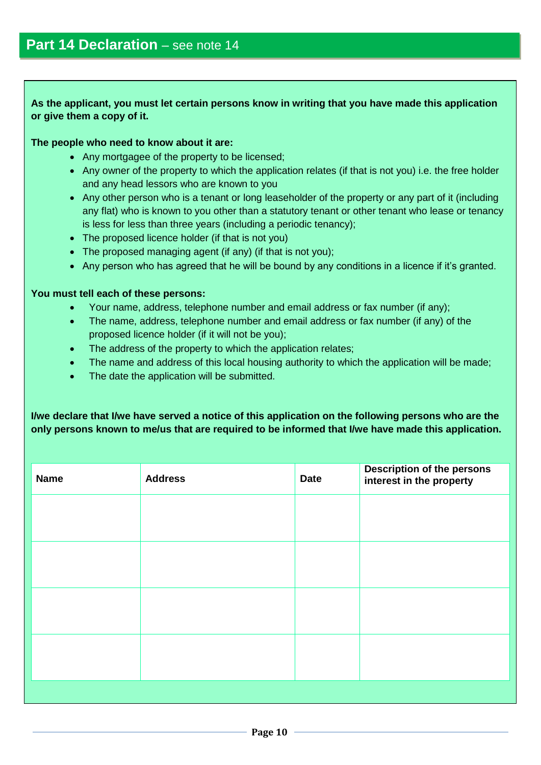**As the applicant, you must let certain persons know in writing that you have made this application or give them a copy of it.**

#### **The people who need to know about it are:**

- Any mortgagee of the property to be licensed:
- Any owner of the property to which the application relates (if that is not you) i.e. the free holder and any head lessors who are known to you
- Any other person who is a tenant or long leaseholder of the property or any part of it (including any flat) who is known to you other than a statutory tenant or other tenant who lease or tenancy is less for less than three years (including a periodic tenancy);
- The proposed licence holder (if that is not you)
- The proposed managing agent (if any) (if that is not you);
- Any person who has agreed that he will be bound by any conditions in a licence if it's granted.

#### **You must tell each of these persons:**

- Your name, address, telephone number and email address or fax number (if any);
- The name, address, telephone number and email address or fax number (if any) of the proposed licence holder (if it will not be you);
- The address of the property to which the application relates;
- The name and address of this local housing authority to which the application will be made;
- The date the application will be submitted.

**I/we declare that I/we have served a notice of this application on the following persons who are the only persons known to me/us that are required to be informed that I/we have made this application.**

| <b>Name</b> | <b>Address</b> | <b>Date</b> | <b>Description of the persons</b><br>interest in the property |
|-------------|----------------|-------------|---------------------------------------------------------------|
|             |                |             |                                                               |
|             |                |             |                                                               |
|             |                |             |                                                               |
|             |                |             |                                                               |
|             |                |             |                                                               |
|             |                |             |                                                               |
|             |                |             |                                                               |
|             |                |             |                                                               |
|             |                |             |                                                               |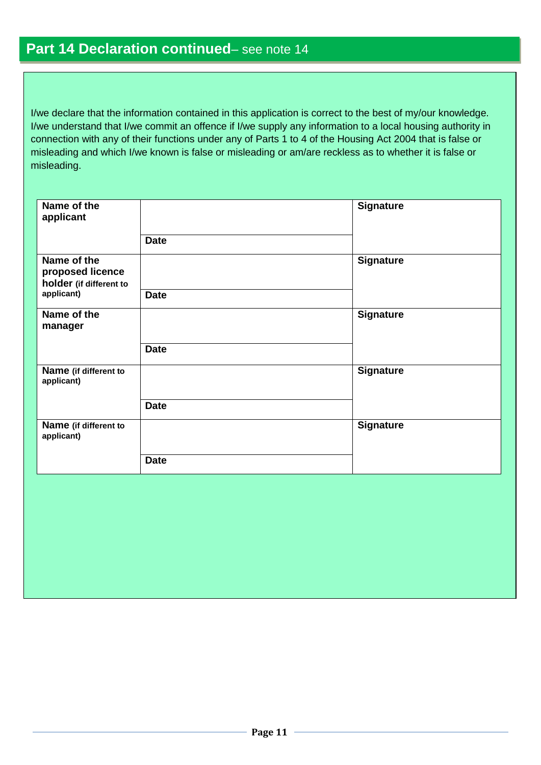I/we declare that the information contained in this application is correct to the best of my/our knowledge. I/we understand that I/we commit an offence if I/we supply any information to a local housing authority in connection with any of their functions under any of Parts 1 to 4 of the Housing Act 2004 that is false or misleading and which I/we known is false or misleading or am/are reckless as to whether it is false or misleading.

| Name of the<br>applicant                                   |             | <b>Signature</b> |
|------------------------------------------------------------|-------------|------------------|
|                                                            | <b>Date</b> |                  |
| Name of the<br>proposed licence<br>holder (if different to |             | <b>Signature</b> |
| applicant)                                                 | <b>Date</b> |                  |
| Name of the<br>manager                                     |             | <b>Signature</b> |
|                                                            | <b>Date</b> |                  |
| Name (if different to<br>applicant)                        |             | <b>Signature</b> |
|                                                            | <b>Date</b> |                  |
| Name (if different to<br>applicant)                        |             | <b>Signature</b> |
|                                                            | <b>Date</b> |                  |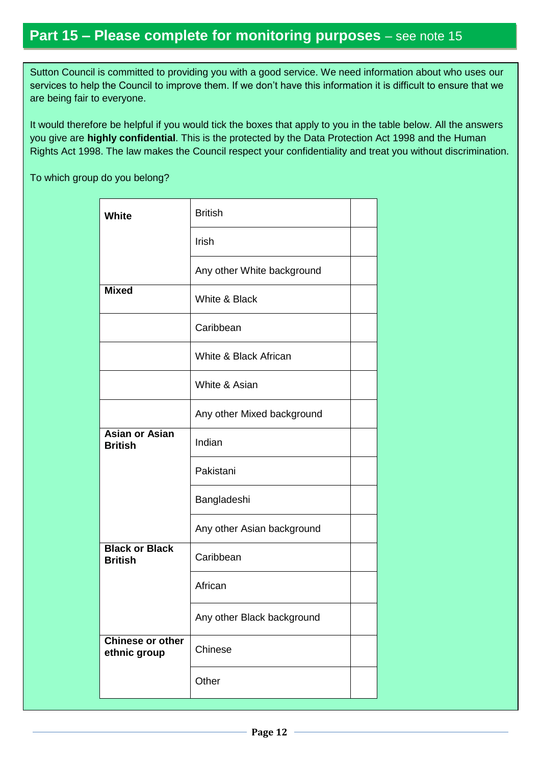# **Part 15 – Please complete for monitoring purposes** – see note 15

Sutton Council is committed to providing you with a good service. We need information about who uses our services to help the Council to improve them. If we don't have this information it is difficult to ensure that we are being fair to everyone.

It would therefore be helpful if you would tick the boxes that apply to you in the table below. All the answers you give are **highly confidential**. This is the protected by the Data Protection Act 1998 and the Human Rights Act 1998. The law makes the Council respect your confidentiality and treat you without discrimination.

To which group do you belong?

| <b>White</b>                            | <b>British</b>             |  |
|-----------------------------------------|----------------------------|--|
|                                         | Irish                      |  |
|                                         | Any other White background |  |
| <b>Mixed</b>                            | White & Black              |  |
|                                         | Caribbean                  |  |
|                                         | White & Black African      |  |
|                                         | White & Asian              |  |
|                                         | Any other Mixed background |  |
| <b>Asian or Asian</b><br><b>British</b> | Indian                     |  |
|                                         | Pakistani                  |  |
|                                         | Bangladeshi                |  |
|                                         | Any other Asian background |  |
| <b>Black or Black</b><br><b>British</b> | Caribbean                  |  |
|                                         | African                    |  |
|                                         | Any other Black background |  |
| <b>Chinese or other</b><br>ethnic group | Chinese                    |  |
|                                         | Other                      |  |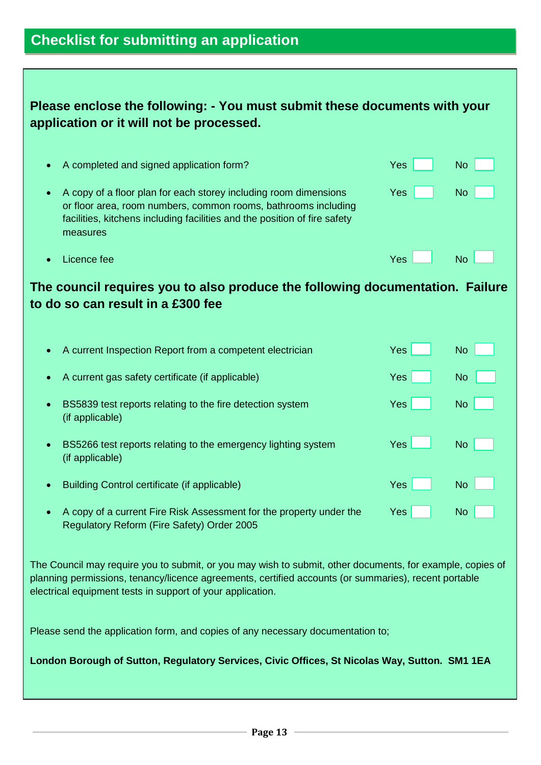| Please enclose the following: - You must submit these documents with your<br>application or it will not be processed.                                                                                                                                                           |     |           |  |  |
|---------------------------------------------------------------------------------------------------------------------------------------------------------------------------------------------------------------------------------------------------------------------------------|-----|-----------|--|--|
| A completed and signed application form?<br>$\bullet$                                                                                                                                                                                                                           | Yes | <b>No</b> |  |  |
| A copy of a floor plan for each storey including room dimensions<br>$\bullet$<br>or floor area, room numbers, common rooms, bathrooms including<br>facilities, kitchens including facilities and the position of fire safety<br>measures                                        | Yes | <b>No</b> |  |  |
| Licence fee                                                                                                                                                                                                                                                                     | Yes | <b>No</b> |  |  |
| The council requires you to also produce the following documentation. Failure<br>to do so can result in a £300 fee                                                                                                                                                              |     |           |  |  |
| A current Inspection Report from a competent electrician<br>$\bullet$                                                                                                                                                                                                           | Yes | <b>No</b> |  |  |
| A current gas safety certificate (if applicable)<br>٠                                                                                                                                                                                                                           | Yes | <b>No</b> |  |  |
| BS5839 test reports relating to the fire detection system<br>$\bullet$<br>(if applicable)                                                                                                                                                                                       | Yes | <b>No</b> |  |  |
| BS5266 test reports relating to the emergency lighting system<br>(if applicable)                                                                                                                                                                                                | Yes | <b>No</b> |  |  |
| Building Control certificate (if applicable)                                                                                                                                                                                                                                    | Yes | No        |  |  |
| A copy of a current Fire Risk Assessment for the property under the<br>Regulatory Reform (Fire Safety) Order 2005                                                                                                                                                               | Yes | No        |  |  |
| The Council may require you to submit, or you may wish to submit, other documents, for example, copies of<br>planning permissions, tenancy/licence agreements, certified accounts (or summaries), recent portable<br>electrical equipment tests in support of your application. |     |           |  |  |
| Please send the application form, and copies of any necessary documentation to;                                                                                                                                                                                                 |     |           |  |  |
| London Borough of Sutton, Regulatory Services, Civic Offices, St Nicolas Way, Sutton. SM1 1EA                                                                                                                                                                                   |     |           |  |  |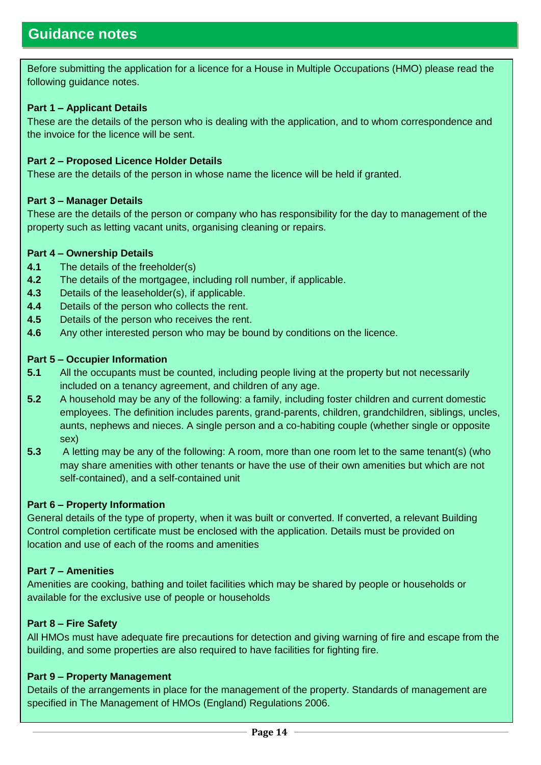Before submitting the application for a licence for a House in Multiple Occupations (HMO) please read the following guidance notes.

### **Part 1 – Applicant Details**

These are the details of the person who is dealing with the application, and to whom correspondence and the invoice for the licence will be sent.

### **Part 2 – Proposed Licence Holder Details**

These are the details of the person in whose name the licence will be held if granted.

### **Part 3 – Manager Details**

These are the details of the person or company who has responsibility for the day to management of the property such as letting vacant units, organising cleaning or repairs.

### **Part 4 – Ownership Details**

- **4.1** The details of the freeholder(s)
- **4.2** The details of the mortgagee, including roll number, if applicable.
- **4.3** Details of the leaseholder(s), if applicable.
- **4.4** Details of the person who collects the rent.
- **4.5** Details of the person who receives the rent.
- **4.6** Any other interested person who may be bound by conditions on the licence.

#### **Part 5 – Occupier Information**

- **5.1** All the occupants must be counted, including people living at the property but not necessarily included on a tenancy agreement, and children of any age.
- **5.2** A household may be any of the following: a family, including foster children and current domestic employees. The definition includes parents, grand-parents, children, grandchildren, siblings, uncles, aunts, nephews and nieces. A single person and a co-habiting couple (whether single or opposite sex)
- **5.3** A letting may be any of the following: A room, more than one room let to the same tenant(s) (who may share amenities with other tenants or have the use of their own amenities but which are not self-contained), and a self-contained unit

### **Part 6 – Property Information**

General details of the type of property, when it was built or converted. If converted, a relevant Building Control completion certificate must be enclosed with the application. Details must be provided on location and use of each of the rooms and amenities

### **Part 7 – Amenities**

Amenities are cooking, bathing and toilet facilities which may be shared by people or households or available for the exclusive use of people or households

#### **Part 8 – Fire Safety**

All HMOs must have adequate fire precautions for detection and giving warning of fire and escape from the building, and some properties are also required to have facilities for fighting fire.

### **Part 9 – Property Management**

Details of the arrangements in place for the management of the property. Standards of management are specified in The Management of HMOs (England) Regulations 2006.